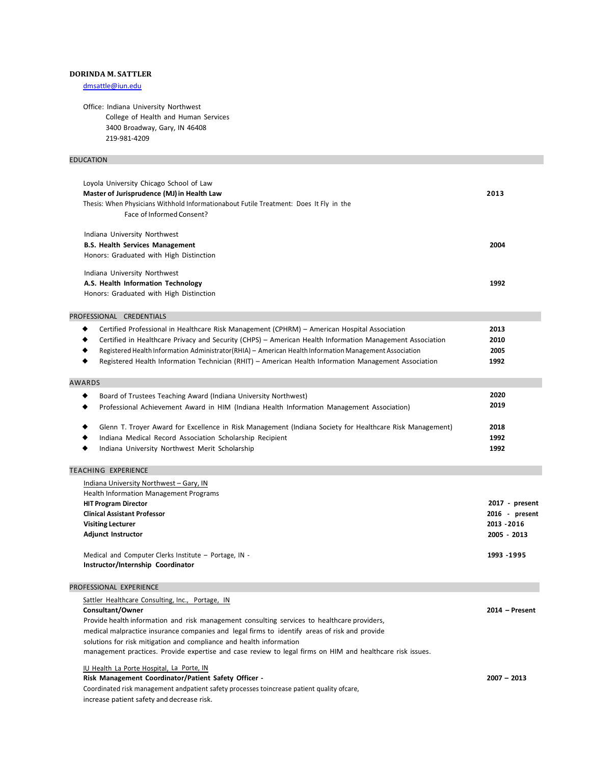### **DORINDA M. SATTLER**

[dmsattle@iun.edu](mailto:dmsattle@iun.edu)

Office: Indiana University Northwest College of Health and Human Services 3400 Broadway, Gary, IN 46408 219-981-4209

# EDUCATION

| Loyola University Chicago School of Law<br>Master of Jurisprudence (MJ) in Health Law<br>Thesis: When Physicians Withhold Informationabout Futile Treatment: Does It Fly in the<br>Face of Informed Consent?                                                                                                                                                                                                                     | 2013                         |  |
|----------------------------------------------------------------------------------------------------------------------------------------------------------------------------------------------------------------------------------------------------------------------------------------------------------------------------------------------------------------------------------------------------------------------------------|------------------------------|--|
| Indiana University Northwest<br><b>B.S. Health Services Management</b><br>Honors: Graduated with High Distinction                                                                                                                                                                                                                                                                                                                | 2004                         |  |
| Indiana University Northwest<br>A.S. Health Information Technology<br>Honors: Graduated with High Distinction                                                                                                                                                                                                                                                                                                                    | 1992                         |  |
| PROFESSIONAL CREDENTIALS                                                                                                                                                                                                                                                                                                                                                                                                         |                              |  |
| Certified Professional in Healthcare Risk Management (CPHRM) - American Hospital Association<br>Certified in Healthcare Privacy and Security (CHPS) - American Health Information Management Association<br>Registered Health Information Administrator (RHIA) - American Health Information Management Association<br>Registered Health Information Technician (RHIT) - American Health Information Management Association<br>٠ | 2013<br>2010<br>2005<br>1992 |  |
| <b>AWARDS</b>                                                                                                                                                                                                                                                                                                                                                                                                                    |                              |  |
| Board of Trustees Teaching Award (Indiana University Northwest)<br>٠<br>Professional Achievement Award in HIM (Indiana Health Information Management Association)                                                                                                                                                                                                                                                                | 2020<br>2019                 |  |
| Glenn T. Troyer Award for Excellence in Risk Management (Indiana Society for Healthcare Risk Management)<br>Indiana Medical Record Association Scholarship Recipient                                                                                                                                                                                                                                                             | 2018<br>1992                 |  |

◆ Indiana University Northwest Merit Scholarship **1992**

# TEACHING EXPERIENCE

| Indiana University Northwest - Gary, IN               |                |
|-------------------------------------------------------|----------------|
| <b>Health Information Management Programs</b>         |                |
| <b>HIT Program Director</b>                           | 2017 - present |
| <b>Clinical Assistant Professor</b>                   | 2016 - present |
| <b>Visiting Lecturer</b>                              | 2013 - 2016    |
| <b>Adjunct Instructor</b>                             | 2005 - 2013    |
| Medical and Computer Clerks Institute - Portage, IN - | 1993 1995      |
|                                                       |                |

**Instructor/Internship Coordinator**

### PROFESSIONAL EXPERIENCE

| Sattler Healthcare Consulting, Inc., Portage, IN                                                          |                  |
|-----------------------------------------------------------------------------------------------------------|------------------|
| Consultant/Owner                                                                                          | $2014$ – Present |
| Provide health information and risk management consulting services to healthcare providers,               |                  |
| medical malpractice insurance companies and legal firms to identify areas of risk and provide             |                  |
| solutions for risk mitigation and compliance and health information                                       |                  |
| management practices. Provide expertise and case review to legal firms on HIM and healthcare risk issues. |                  |
| IU Health La Porte Hospital, La Porte, IN<br>.                                                            |                  |

### **Risk Management Coordinator/Patient Safety Officer - 2007 – 2013**

Coordinated risk management andpatient safety processes toincrease patient quality ofcare, increase patient safety and decrease risk.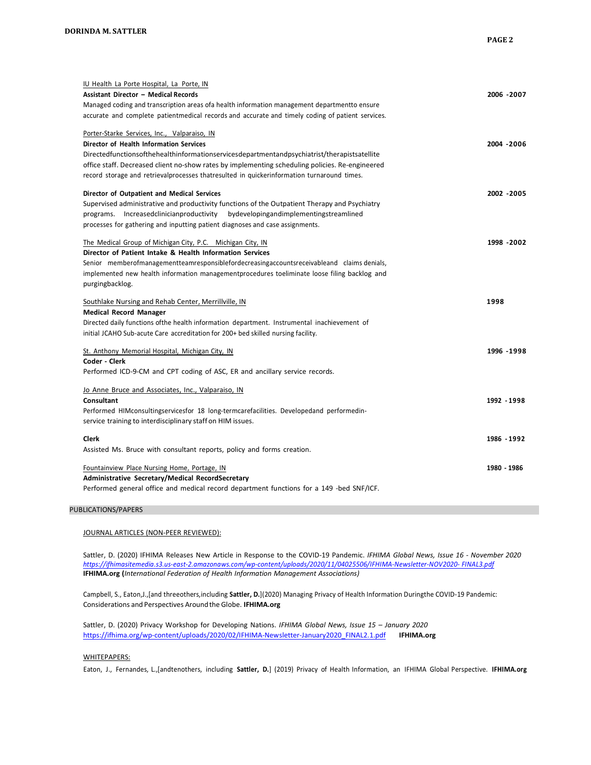| IU Health La Porte Hospital, La Porte, IN                                                         |             |
|---------------------------------------------------------------------------------------------------|-------------|
| <b>Assistant Director - Medical Records</b>                                                       | 2006 - 2007 |
| Managed coding and transcription areas ofa health information management departmentto ensure      |             |
| accurate and complete patient medical records and accurate and timely coding of patient services. |             |
| Porter-Starke Services, Inc., Valparaiso, IN                                                      |             |
| Director of Health Information Services                                                           | 2004 - 2006 |
| Directedfunctionsofthehealthinformationservicesdepartmentandpsychiatrist/therapistsatellite       |             |
| office staff. Decreased client no-show rates by implementing scheduling policies. Re-engineered   |             |
| record storage and retrievalprocesses thatresulted in quickerinformation turnaround times.        |             |
| Director of Outpatient and Medical Services                                                       | 2002 - 2005 |
| Supervised administrative and productivity functions of the Outpatient Therapy and Psychiatry     |             |
| programs. Increasedclinician productivity<br>bydevelopingandimplementingstreamlined               |             |
| processes for gathering and inputting patient diagnoses and case assignments.                     |             |
| The Medical Group of Michigan City, P.C. Michigan City, IN                                        | 1998 - 2002 |
| Director of Patient Intake & Health Information Services                                          |             |
| Senior memberofmanagementteamresponsiblefordecreasingaccountsreceivableand claims denials,        |             |
| implemented new health information managementprocedures toeliminate loose filing backlog and      |             |
| purgingbacklog.                                                                                   |             |
|                                                                                                   |             |
| Southlake Nursing and Rehab Center, Merrillville, IN                                              | 1998        |
| <b>Medical Record Manager</b>                                                                     |             |
| Directed daily functions of the health information department. Instrumental inachievement of      |             |
| initial JCAHO Sub-acute Care accreditation for 200+ bed skilled nursing facility.                 |             |
| St. Anthony Memorial Hospital, Michigan City, IN                                                  | 1996 - 1998 |
| Coder - Clerk                                                                                     |             |
| Performed ICD-9-CM and CPT coding of ASC, ER and ancillary service records.                       |             |
| Jo Anne Bruce and Associates, Inc., Valparaiso, IN                                                |             |
| Consultant                                                                                        | 1992 - 1998 |
| Performed HIMconsultingservicesfor 18 long-termcarefacilities. Developedand performedin-          |             |
| service training to interdisciplinary staff on HIM issues.                                        |             |
| Clerk                                                                                             | 1986 - 1992 |
| Assisted Ms. Bruce with consultant reports, policy and forms creation.                            |             |
| Fountainview Place Nursing Home, Portage, IN                                                      | 1980 - 1986 |
| Administrative Secretary/Medical RecordSecretary                                                  |             |

### PUBLICATIONS/PAPERS

JOURNAL ARTICLES (NON-PEER REVIEWED):

Sattler, D. (2020) IFHIMA Releases New Article in Response to the COVID-19 Pandemic. *IFHIMA Global News, Issue 16 - November 2020 [https://ifhimasitemedia.s3.us-east-2.amazonaws.com/wp-content/uploads/2020/11/04025506/IFHIMA-Newsletter-NOV2020-](https://ifhimasitemedia.s3.us-east-2.amazonaws.com/wp-content/uploads/2020/11/04025506/IFHIMA-Newsletter-NOV2020-FINAL3.pdf) FINAL3.pdf* **[IFHIMA.org](https://ifhima.org/) (***International Federation of Health Information Management Associations)*

Campbell, S., Eaton,J.,[and threeothers,including **Sattler, D.**](2020) Managing Privacy of Health Information Duringthe COVID-19 Pandemic: Considerations and Perspectives Aroundthe Globe. **[IFHIMA.org](https://ifhima.org/)**

Sattler, D. (2020) Privacy Workshop for Developing Nations. *IFHIMA Global News, Issue 15 – January 2020* [https://ifhima.org/wp-content/uploads/2020/02/IFHIMA-Newsletter-January2020\\_FINAL2.1.pdf](https://ifhima.org/wp-content/uploads/2020/02/IFHIMA-Newsletter-January2020_FINAL2.1.pdf) **[IFHIMA.org](https://ifhima.org/)**

### WHITEPAPERS:

Eaton, J., Fernandes, L.,[andtenothers, including **Sattler, D.**] (2019) Privacy of Health Information, an IFHIMA Global Perspective. **[IFHIMA.org](https://ifhima.org/)**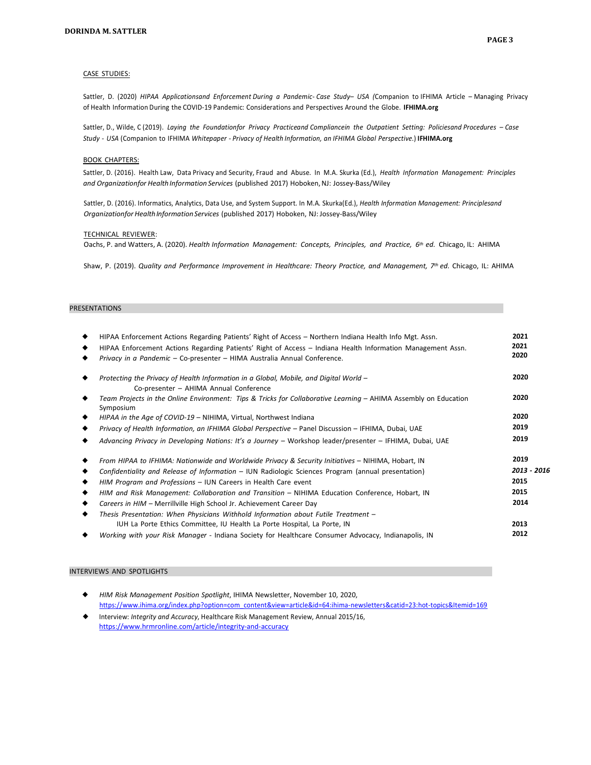### CASE STUDIES:

Sattler, D. (2020) *HIPAA Applicationsand Enforcement During a Pandemic- Case Study– USA (*Companion to IFHIMA Article – Managing Privacy of Health Information During the COVID-19 Pandemic: Considerations and Perspectives Around the Globe. **[IFHIMA.org](https://ifhima.org/)**

Sattler, D., Wilde, C (2019). *Laying the Foundationfor Privacy Practiceand Compliancein the Outpatient Setting: Policiesand Procedures – Case Study - USA* (Companion to IFHIMA *Whitepaper - Privacy of Health Information, an IFHIMA Global Perspective*.) **[IFHIMA.org](https://ifhima.org/)**

#### BOOK CHAPTERS:

Sattler, D. (2016). Health Law, Data Privacy and Security, Fraud and Abuse. In M.A. Skurka (Ed.), *Health Information Management: Principles and Organizationfor Health Information Services* (published 2017) Hoboken,NJ: Jossey-Bass/Wiley

Sattler, D. (2016). Informatics, Analytics, Data Use, and System Support. In M.A. Skurka(Ed.), *Health Information Management: Principlesand Organizationfor HealthInformationServices* (published 2017) Hoboken, NJ: Jossey-Bass/Wiley

### TECHNICAL REVIEWER:

Oachs, P. and Watters, A. (2020). *Health Information Management: Concepts, Principles, and Practice, 6th ed.* Chicago, IL: AHIMA

Shaw, P. (2019). *Quality and Performance Improvement in Healthcare: Theory Practice, and Management, 7th ed.* Chicago, IL: AHIMA

### PRESENTATIONS

| HIPAA Enforcement Actions Regarding Patients' Right of Access – Northern Indiana Health Info Mgt. Assn.                         | 2021        |
|---------------------------------------------------------------------------------------------------------------------------------|-------------|
| HIPAA Enforcement Actions Regarding Patients' Right of Access - Indiana Health Information Management Assn.                     | 2021        |
| Privacy in a Pandemic - Co-presenter - HIMA Australia Annual Conference.                                                        | 2020        |
| Protecting the Privacy of Health Information in a Global, Mobile, and Digital World -<br>Co-presenter - AHIMA Annual Conference | 2020        |
| Team Projects in the Online Environment: Tips & Tricks for Collaborative Learning – AHIMA Assembly on Education<br>Symposium    | 2020        |
| HIPAA in the Age of COVID-19 - NIHIMA, Virtual, Northwest Indiana                                                               | 2020        |
| Privacy of Health Information, an IFHIMA Global Perspective - Panel Discussion - IFHIMA, Dubai, UAE                             | 2019        |
| Advancing Privacy in Developing Nations: It's a Journey - Workshop leader/presenter - IFHIMA, Dubai, UAE                        | 2019        |
| From HIPAA to IFHIMA: Nationwide and Worldwide Privacy & Security Initiatives - NIHIMA, Hobart, IN                              | 2019        |
| Confidentiality and Release of Information - IUN Radiologic Sciences Program (annual presentation)                              | 2013 - 2016 |
| HIM Program and Professions - IUN Careers in Health Care event                                                                  | 2015        |
| HIM and Risk Management: Collaboration and Transition – NIHIMA Education Conference, Hobart, IN                                 | 2015        |
| Careers in HIM - Merrillville High School Jr. Achievement Career Day                                                            | 2014        |
| Thesis Presentation: When Physicians Withhold Information about Futile Treatment -                                              |             |
| IUH La Porte Ethics Committee, IU Health La Porte Hospital, La Porte, IN                                                        | 2013        |
| Working with your Risk Manager - Indiana Society for Healthcare Consumer Advocacy, Indianapolis, IN                             | 2012        |
|                                                                                                                                 |             |

#### INTERVIEWS AND SPOTLIGHTS

- ◆ *HIM Risk Management Position Spotlight*, IHIMA Newsletter, November 10, 2020, [https://www.ihima.org/index.php?option=com\\_content&view=article&id=64:ihima-newsletters&catid=23:hot-topics&Itemid=169](https://www.ihima.org/index.php?option=com_content&view=article&id=64%3Aihima-newsletters&catid=23%3Ahot-topics&Itemid=169) ◆ Interview: *Integrity and Accuracy*, Healthcare Risk Management Review, Annual 2015/16,
- <https://www.hrmronline.com/article/integrity-and-accuracy>